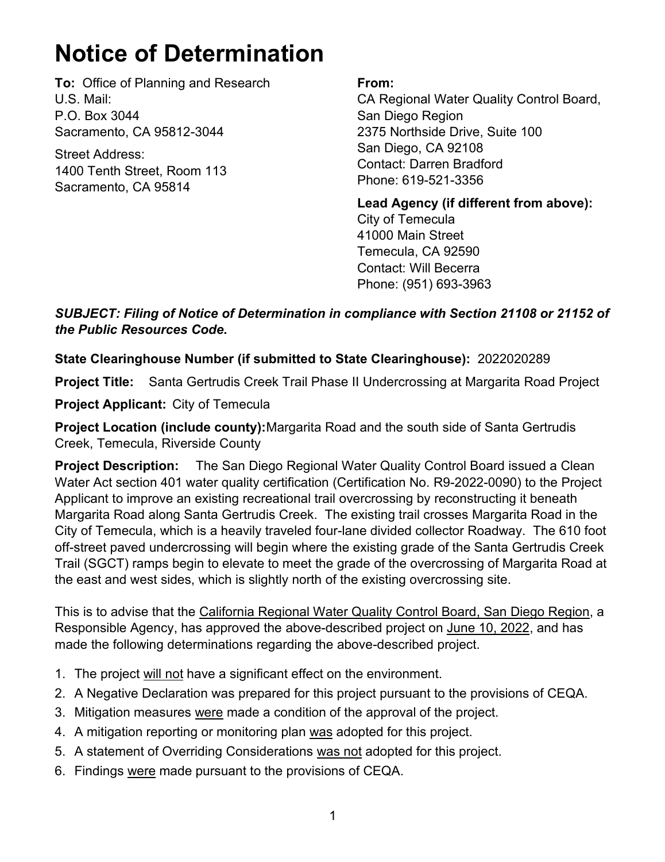## **Notice of Determination**

**To:** Office of Planning and Research U.S. Mail: P.O. Box 3044 Sacramento, CA 95812-3044

Street Address: 1400 Tenth Street, Room 113 Sacramento, CA 95814

## **From:**

CA Regional Water Quality Control Board, San Diego Region 2375 Northside Drive, Suite 100 San Diego, CA 92108 Contact: Darren Bradford Phone: 619-521-3356

**Lead Agency (if different from above):** City of Temecula 41000 Main Street Temecula, CA 92590 Contact: Will Becerra Phone: (951) 693-3963

*SUBJECT: Filing of Notice of Determination in compliance with Section 21108 or 21152 of the Public Resources Code.*

## **State Clearinghouse Number (if submitted to State Clearinghouse):** 2022020289

**Project Title:** Santa Gertrudis Creek Trail Phase II Undercrossing at Margarita Road Project

**Project Applicant:** City of Temecula

**Project Location (include county):**Margarita Road and the south side of Santa Gertrudis Creek, Temecula, Riverside County

**Project Description:** The San Diego Regional Water Quality Control Board issued a Clean Water Act section 401 water quality certification (Certification No. R9-2022-0090) to the Project Applicant to improve an existing recreational trail overcrossing by reconstructing it beneath Margarita Road along Santa Gertrudis Creek. The existing trail crosses Margarita Road in the City of Temecula, which is a heavily traveled four-lane divided collector Roadway. The 610 foot off-street paved undercrossing will begin where the existing grade of the Santa Gertrudis Creek Trail (SGCT) ramps begin to elevate to meet the grade of the overcrossing of Margarita Road at the east and west sides, which is slightly north of the existing overcrossing site.

This is to advise that the California Regional Water Quality Control Board, San Diego Region, a Responsible Agency, has approved the above-described project on June 10, 2022, and has made the following determinations regarding the above-described project.

- 1. The project will not have a significant effect on the environment.
- 2. A Negative Declaration was prepared for this project pursuant to the provisions of CEQA.
- 3. Mitigation measures were made a condition of the approval of the project.
- 4. A mitigation reporting or monitoring plan was adopted for this project.
- 5. A statement of Overriding Considerations was not adopted for this project.
- 6. Findings were made pursuant to the provisions of CEQA.